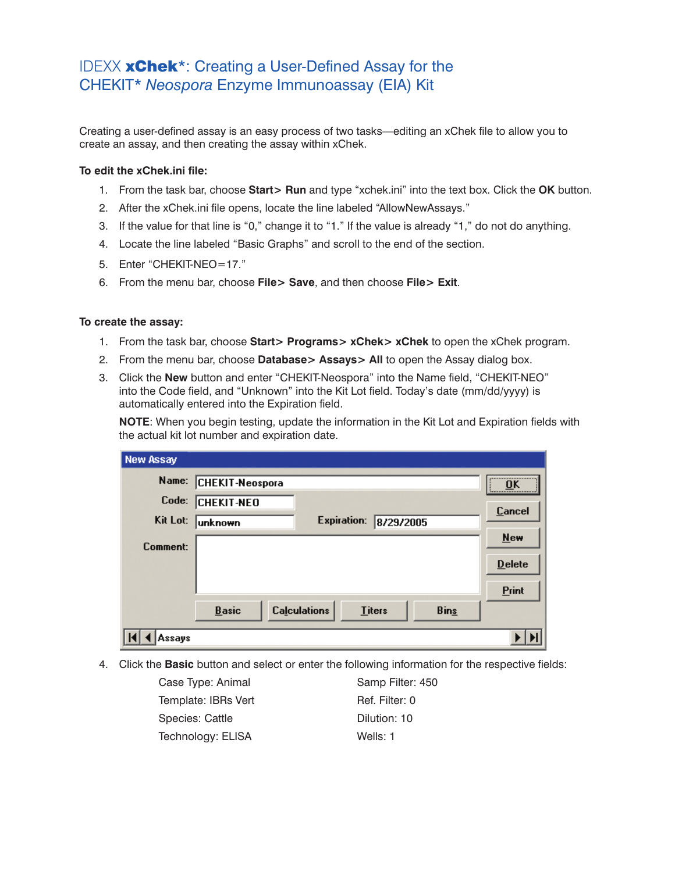## IDEXX xChek\*: Creating a User-Defined Assay for the CHEKIT\* *Neospora* Enzyme Immunoassay (EIA) Kit

Creating a user-defined assay is an easy process of two tasks—editing an xChek file to allow you to create an assay, and then creating the assay within xChek.

## **To edit the xChek.ini file:**

- 1. From the task bar, choose **Start> Run** and type "xchek.ini" into the text box. Click the **OK** button.
- 2. After the xChek.ini file opens, locate the line labeled "AllowNewAssays."
- 3. If the value for that line is "0," change it to "1." If the value is already "1," do not do anything.
- 4. Locate the line labeled "Basic Graphs" and scroll to the end of the section.
- 5. Enter "CHEKIT-NEO=17."
- 6. From the menu bar, choose **File> Save**, and then choose **File> Exit**.

## **To create the assay:**

- 1. From the task bar, choose **Start> Programs> xChek> xChek** to open the xChek program.
- 2. From the menu bar, choose **Database> Assays> All** to open the Assay dialog box.
- 3. Click the **New** button and enter "CHEKIT-Neospora" into the Name field, "CHEKIT-NEO" into the Code field, and "Unknown" into the Kit Lot field. Today's date (mm/dd/yyyy) is automatically entered into the Expiration field.

**NOTE:** When you begin testing, update the information in the Kit Lot and Expiration fields with the actual kit lot number and expiration date.

| New Assay |                        |                     |               |             |               |
|-----------|------------------------|---------------------|---------------|-------------|---------------|
| Name:     | <b>CHEKIT-Neospora</b> |                     |               |             | <br>OK        |
| Code:     | <b>CHEKIT-NEO</b>      |                     |               |             | <b>Cancel</b> |
| Kit Lot:  | unknown                | <b>Expiration:</b>  | 8/29/2005     |             |               |
| Comment:  |                        |                     |               |             | <b>New</b>    |
|           |                        |                     |               |             | <b>Delete</b> |
|           |                        |                     |               |             | Print         |
|           | <b>Basic</b>           | <b>Calculations</b> | <b>Titers</b> | <b>Bins</b> |               |
| Assays    |                        |                     |               |             |               |

4. Click the **Basic** button and select or enter the following information for the respective fields:

| Case Type: Animal   | Samp Filter: 450 |
|---------------------|------------------|
| Template: IBRs Vert | Ref. Filter: 0   |
| Species: Cattle     | Dilution: 10     |
| Technology: ELISA   | Wells: 1         |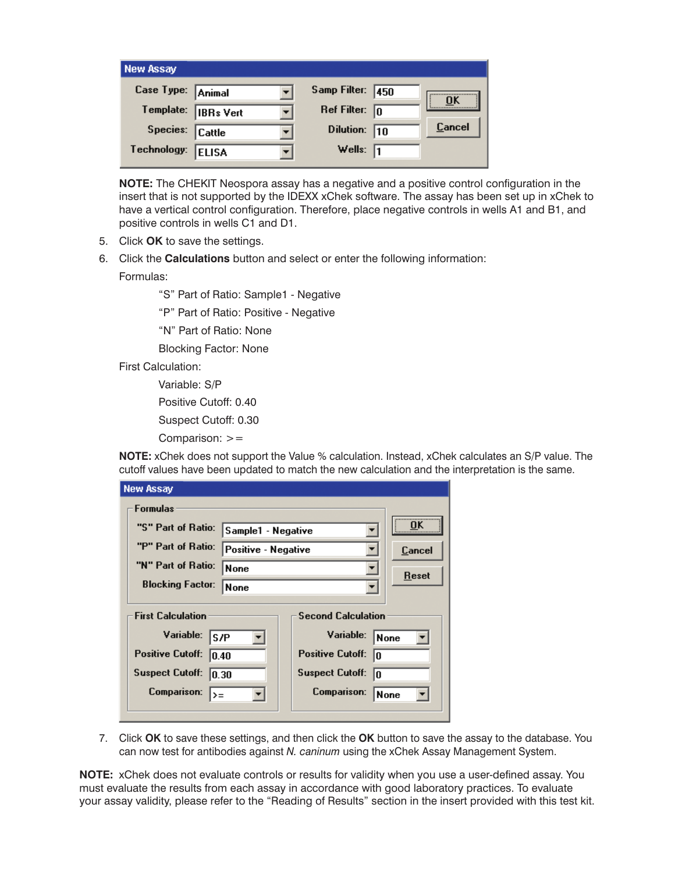| <b>New Assay</b>  |                  |                         |        |
|-------------------|------------------|-------------------------|--------|
| Case Type: Animal |                  | Samp Filter: 450        | OK     |
| Template:         | <b>IBRs</b> Vert | Ref Filter: $\boxed{0}$ |        |
| Species: Cattle   |                  | Dilution: $\boxed{10}$  | Cancel |
| Technology:       | <b>ELISA</b>     | Wells: $\sqrt{1}$       |        |

**NOTE:** The CHEKIT Neospora assay has a negative and a positive control configuration in the insert that is not supported by the IDEXX xChek software. The assay has been set up in xChek to have a vertical control configuration. Therefore, place negative controls in wells A1 and B1, and positive controls in wells C1 and D1.

- 5. Click **OK** to save the settings.
- 6. Click the **Calculations** button and select or enter the following information:

Formulas:

- "S" Part of Ratio: Sample1 Negative
- "P" Part of Ratio: Positive Negative
- "N" Part of Ratio: None
- Blocking Factor: None
- First Calculation:

Variable: S/P

Positive Cutoff: 0.40

Suspect Cutoff: 0.30

Comparison: >=

**NOTE:** xChek does not support the Value % calculation. Instead, xChek calculates an S/P value. The cutoff values have been updated to match the new calculation and the interpretation is the same.

| <b>New Assay</b>                                      |                     |                               |              |  |  |
|-------------------------------------------------------|---------------------|-------------------------------|--------------|--|--|
| Formulas                                              |                     |                               |              |  |  |
| "S" Part of Ratio:<br>Sample1 - Negative              |                     |                               | OK           |  |  |
| "P" Part of Ratio:                                    | Positive - Negative |                               | Cancel       |  |  |
| "N" Part of Ratio:<br>None                            |                     |                               | <b>Reset</b> |  |  |
| <b>Blocking Factor:</b>                               | None                |                               |              |  |  |
| <b>Second Calculation</b><br><b>First Calculation</b> |                     |                               |              |  |  |
| Variable:<br>S/P                                      |                     | Variable:                     | <b>None</b>  |  |  |
| <b>Positive Cutoff:</b><br>0.40                       |                     | <b>Positive Cutoff:</b><br>I٥ |              |  |  |
| <b>Suspect Cutoff:</b><br>10.30                       |                     | <b>Suspect Cutoff:</b><br>In  |              |  |  |
| Comparison:<br>$>=$                                   |                     | Comparison:                   | None         |  |  |
|                                                       |                     |                               |              |  |  |

7. Click **OK** to save these settings, and then click the **OK** button to save the assay to the database. You can now test for antibodies against *N. caninum* using the xChek Assay Management System.

**NOTE:** xChek does not evaluate controls or results for validity when you use a user-defined assay. You must evaluate the results from each assay in accordance with good laboratory practices. To evaluate your assay validity, please refer to the "Reading of Results" section in the insert provided with this test kit.